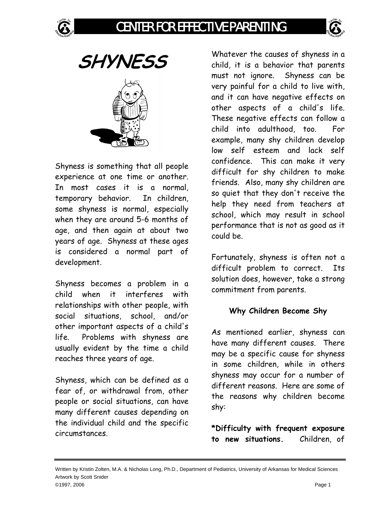







Shyness is something that all people experience at one time or another. In most cases it is a normal, temporary behavior. In children, some shyness is normal, especially when they are around 5-6 months of age, and then again at about two years of age. Shyness at these ages is considered a normal part of development.

Shyness becomes a problem in a child when it interferes with relationships with other people, with social situations, school, and/or other important aspects of a child's life. Problems with shyness are usually evident by the time a child reaches three years of age.

Shyness, which can be defined as a fear of, or withdrawal from, other people or social situations, can have many different causes depending on the individual child and the specific circumstances.

Whatever the causes of shyness in a child, it is a behavior that parents must not ignore. Shyness can be very painful for a child to live with, and it can have negative effects on other aspects of a child's life. These negative effects can follow a child into adulthood, too. For example, many shy children develop low self esteem and lack self confidence. This can make it very difficult for shy children to make friends. Also, many shy children are so quiet that they don't receive the help they need from teachers at school, which may result in school performance that is not as good as it could be.

Fortunately, shyness is often not a difficult problem to correct. Its solution does, however, take a strong commitment from parents.

## **Why Children Become Shy**

As mentioned earlier, shyness can have many different causes. There may be a specific cause for shyness in some children, while in others shyness may occur for a number of different reasons. Here are some of the reasons why children become shy:

**\*Difficulty with frequent exposure to new situations.** Children, of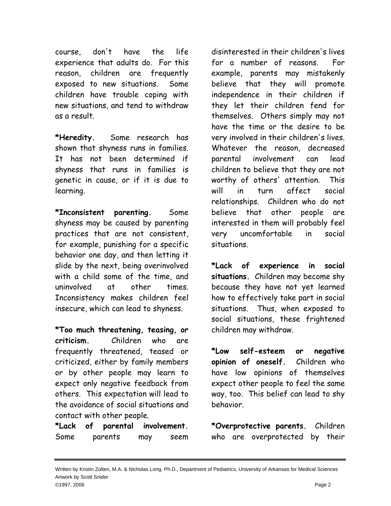course, don't have the life experience that adults do. For this reason, children are frequently exposed to new situations. Some children have trouble coping with new situations, and tend to withdraw as a result.

**\*Heredity.** Some research has shown that shyness runs in families. It has not been determined if shyness that runs in families is genetic in cause, or if it is due to learning.

**\*Inconsistent parenting.** Some shyness may be caused by parenting practices that are not consistent, for example, punishing for a specific behavior one day, and then letting it slide by the next, being overinvolved with a child some of the time, and uninvolved at other times. Inconsistency makes children feel insecure, which can lead to shyness.

**\*Too much threatening, teasing, or criticism.** Children who are frequently threatened, teased or criticized, either by family members or by other people may learn to expect only negative feedback from others. This expectation will lead to the avoidance of social situations and contact with other people.

**\*Lack of parental involvement.** Some parents may seem disinterested in their children's lives for a number of reasons. For example, parents may mistakenly believe that they will promote independence in their children if they let their children fend for themselves. Others simply may not have the time or the desire to be very involved in their children's lives. Whatever the reason, decreased parental involvement can lead children to believe that they are not worthy of others' attention. This will in turn affect social relationships. Children who do not believe that other people are interested in them will probably feel very uncomfortable in social situations.

**\*Lack of experience in social situations.** Children may become shy because they have not yet learned how to effectively take part in social situations. Thus, when exposed to social situations, these frightened children may withdraw.

**\*Low self-esteem or negative opinion of oneself.** Children who have low opinions of themselves expect other people to feel the same way, too. This belief can lead to shy behavior.

**\*Overprotective parents.** Children who are overprotected by their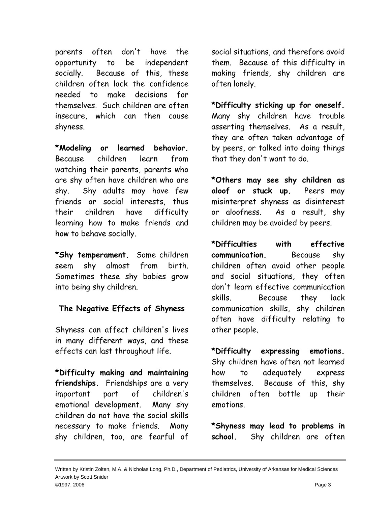parents often don't have the opportunity to be independent socially. Because of this, these children often lack the confidence needed to make decisions for themselves. Such children are often insecure, which can then cause shyness.

**\*Modeling or learned behavior.** Because children learn from watching their parents, parents who are shy often have children who are shy. Shy adults may have few friends or social interests, thus their children have difficulty learning how to make friends and how to behave socially.

**\*Shy temperament.** Some children seem shy almost from birth. Sometimes these shy babies grow into being shy children.

## **The Negative Effects of Shyness**

Shyness can affect children's lives in many different ways, and these effects can last throughout life.

**\*Difficulty making and maintaining friendships.** Friendships are a very important part of children's emotional development. Many shy children do not have the social skills necessary to make friends. Many shy children, too, are fearful of

social situations, and therefore avoid them. Because of this difficulty in making friends, shy children are often lonely.

**\*Difficulty sticking up for oneself.** Many shy children have trouble asserting themselves. As a result, they are often taken advantage of by peers, or talked into doing things that they don't want to do.

**\*Others may see shy children as aloof or stuck up.** Peers may misinterpret shyness as disinterest or aloofness. As a result, shy children may be avoided by peers.

**\*Difficulties with effective communication.** Because shy children often avoid other people and social situations, they often don't learn effective communication skills. Because they lack communication skills, shy children often have difficulty relating to other people.

**\*Difficulty expressing emotions.** Shy children have often not learned how to adequately express themselves. Because of this, shy children often bottle up their emotions.

**\*Shyness may lead to problems in school.** Shy children are often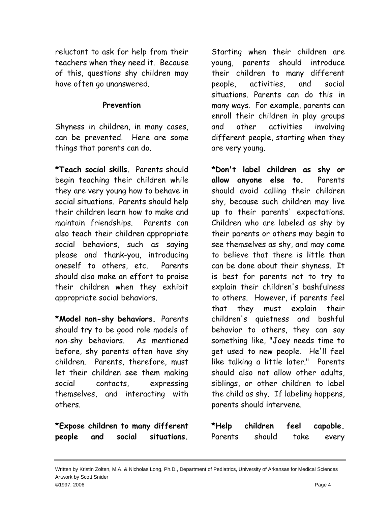reluctant to ask for help from their teachers when they need it. Because of this, questions shy children may have often go unanswered.

## **Prevention**

Shyness in children, in many cases, can be prevented. Here are some things that parents can do.

**\*Teach social skills.** Parents should begin teaching their children while they are very young how to behave in social situations. Parents should help their children learn how to make and maintain friendships. Parents can also teach their children appropriate social behaviors, such as saying please and thank-you, introducing oneself to others, etc. Parents should also make an effort to praise their children when they exhibit appropriate social behaviors.

**\*Model non-shy behaviors.** Parents should try to be good role models of non-shy behaviors. As mentioned before, shy parents often have shy children. Parents, therefore, must let their children see them making social contacts, expressing themselves, and interacting with others.

**\*Expose children to many different people and social situations.**

Starting when their children are young, parents should introduce their children to many different people, activities, and social situations. Parents can do this in many ways. For example, parents can enroll their children in play groups and other activities involving different people, starting when they are very young.

**\*Don't label children as shy or allow anyone else to.** Parents should avoid calling their children shy, because such children may live up to their parents' expectations. Children who are labeled as shy by their parents or others may begin to see themselves as shy, and may come to believe that there is little than can be done about their shyness. It is best for parents not to try to explain their children's bashfulness to others. However, if parents feel that they must explain their children's quietness and bashful behavior to others, they can say something like, "Joey needs time to get used to new people. He'll feel like talking a little later." Parents should also not allow other adults, siblings, or other children to label the child as shy. If labeling happens, parents should intervene.

| *Help   | children | feel | capable. |
|---------|----------|------|----------|
| Parents | should   | take | every    |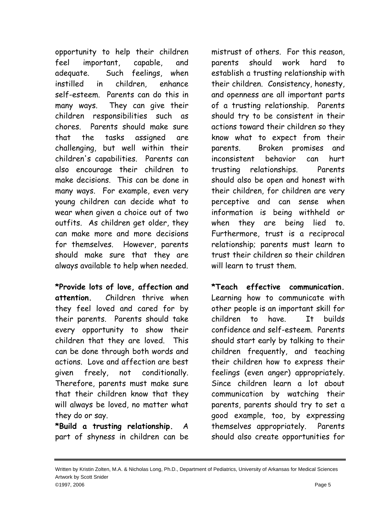opportunity to help their children feel important, capable, and adequate. Such feelings, when instilled in children, enhance self-esteem. Parents can do this in many ways. They can give their children responsibilities such as chores. Parents should make sure that the tasks assigned are challenging, but well within their children's capabilities. Parents can also encourage their children to make decisions. This can be done in many ways. For example, even very young children can decide what to wear when given a choice out of two outfits. As children get older, they can make more and more decisions for themselves. However, parents should make sure that they are always available to help when needed.

**\*Provide lots of love, affection and attention.** Children thrive when they feel loved and cared for by their parents. Parents should take every opportunity to show their children that they are loved. This can be done through both words and actions. Love and affection are best given freely, not conditionally. Therefore, parents must make sure that their children know that they will always be loved, no matter what they do or say.

**\*Build a trusting relationship.** A part of shyness in children can be mistrust of others. For this reason, parents should work hard to establish a trusting relationship with their children. Consistency, honesty, and openness are all important parts of a trusting relationship. Parents should try to be consistent in their actions toward their children so they know what to expect from their parents. Broken promises and inconsistent behavior can hurt trusting relationships. Parents should also be open and honest with their children, for children are very perceptive and can sense when information is being withheld or when they are being lied to. Furthermore, trust is a reciprocal relationship; parents must learn to trust their children so their children will learn to trust them.

**\*Teach effective communication.** Learning how to communicate with other people is an important skill for children to have. It builds confidence and self-esteem. Parents should start early by talking to their children frequently, and teaching their children how to express their feelings (even anger) appropriately. Since children learn a lot about communication by watching their parents, parents should try to set a good example, too, by expressing themselves appropriately. Parents should also create opportunities for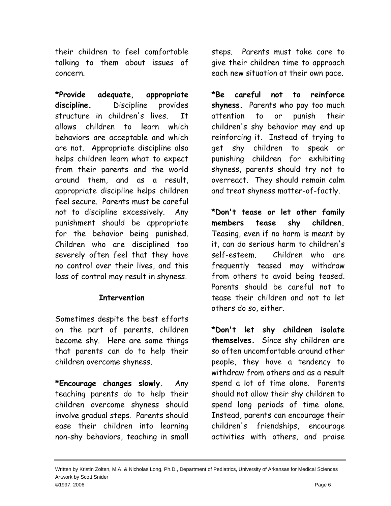their children to feel comfortable talking to them about issues of concern.

**\*Provide adequate, appropriate discipline.** Discipline provides structure in children's lives. It allows children to learn which behaviors are acceptable and which are not. Appropriate discipline also helps children learn what to expect from their parents and the world around them, and as a result, appropriate discipline helps children feel secure. Parents must be careful not to discipline excessively. Any punishment should be appropriate for the behavior being punished. Children who are disciplined too severely often feel that they have no control over their lives, and this loss of control may result in shyness.

## **Intervention**

Sometimes despite the best efforts on the part of parents, children become shy. Here are some things that parents can do to help their children overcome shyness.

**\*Encourage changes slowly.** Any teaching parents do to help their children overcome shyness should involve gradual steps. Parents should ease their children into learning non-shy behaviors, teaching in small

steps. Parents must take care to give their children time to approach each new situation at their own pace.

**\*Be careful not to reinforce shyness.** Parents who pay too much attention to or punish their children's shy behavior may end up reinforcing it. Instead of trying to get shy children to speak or punishing children for exhibiting shyness, parents should try not to overreact. They should remain calm and treat shyness matter-of-factly.

**\*Don't tease or let other family members tease shy children.** Teasing, even if no harm is meant by it, can do serious harm to children's self-esteem. Children who are frequently teased may withdraw from others to avoid being teased. Parents should be careful not to tease their children and not to let others do so, either.

**\*Don't let shy children isolate themselves.** Since shy children are so often uncomfortable around other people, they have a tendency to withdraw from others and as a result spend a lot of time alone. Parents should not allow their shy children to spend long periods of time alone. Instead, parents can encourage their children's friendships, encourage activities with others, and praise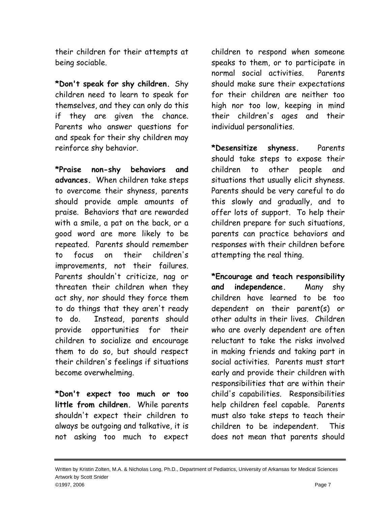their children for their attempts at being sociable.

**\*Don't speak for shy children.** Shy children need to learn to speak for themselves, and they can only do this if they are given the chance. Parents who answer questions for and speak for their shy children may reinforce shy behavior.

**\*Praise non-shy behaviors and advances.** When children take steps to overcome their shyness, parents should provide ample amounts of praise. Behaviors that are rewarded with a smile, a pat on the back, or a good word are more likely to be repeated. Parents should remember to focus on their children's improvements, not their failures. Parents shouldn't criticize, nag or threaten their children when they act shy, nor should they force them to do things that they aren't ready to do. Instead, parents should provide opportunities for their children to socialize and encourage them to do so, but should respect their children's feelings if situations become overwhelming.

**\*Don't expect too much or too little from children.** While parents shouldn't expect their children to always be outgoing and talkative, it is not asking too much to expect

children to respond when someone speaks to them, or to participate in normal social activities. Parents should make sure their expectations for their children are neither too high nor too low, keeping in mind their children's ages and their individual personalities.

**\*Desensitize shyness.** Parents should take steps to expose their children to other people and situations that usually elicit shyness. Parents should be very careful to do this slowly and gradually, and to offer lots of support. To help their children prepare for such situations, parents can practice behaviors and responses with their children before attempting the real thing.

**\*Encourage and teach responsibility and independence.** Many shy children have learned to be too dependent on their parent(s) or other adults in their lives. Children who are overly dependent are often reluctant to take the risks involved in making friends and taking part in social activities. Parents must start early and provide their children with responsibilities that are within their child's capabilities. Responsibilities help children feel capable. Parents must also take steps to teach their children to be independent. This does not mean that parents should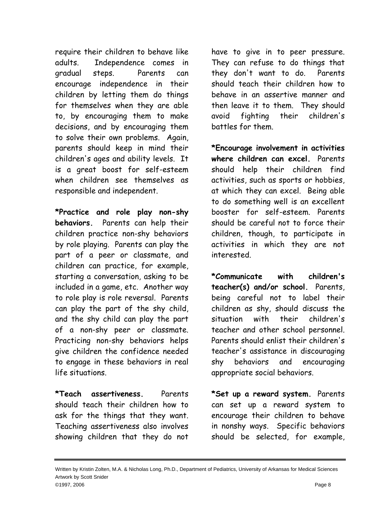require their children to behave like adults. Independence comes in gradual steps. Parents can encourage independence in their children by letting them do things for themselves when they are able to, by encouraging them to make decisions, and by encouraging them to solve their own problems. Again, parents should keep in mind their children's ages and ability levels. It is a great boost for self-esteem when children see themselves as responsible and independent.

**\*Practice and role play non-shy behaviors.** Parents can help their children practice non-shy behaviors by role playing. Parents can play the part of a peer or classmate, and children can practice, for example, starting a conversation, asking to be included in a game, etc. Another way to role play is role reversal. Parents can play the part of the shy child, and the shy child can play the part of a non-shy peer or classmate. Practicing non-shy behaviors helps give children the confidence needed to engage in these behaviors in real life situations.

**\*Teach assertiveness.** Parents should teach their children how to ask for the things that they want. Teaching assertiveness also involves showing children that they do not have to give in to peer pressure. They can refuse to do things that they don't want to do. Parents should teach their children how to behave in an assertive manner and then leave it to them. They should avoid fighting their children's battles for them.

**\*Encourage involvement in activities where children can excel.** Parents should help their children find activities, such as sports or hobbies, at which they can excel. Being able to do something well is an excellent booster for self-esteem. Parents should be careful not to force their children, though, to participate in activities in which they are not interested.

**\*Communicate with children's teacher(s) and/or school.** Parents, being careful not to label their children as shy, should discuss the situation with their children's teacher and other school personnel. Parents should enlist their children's teacher's assistance in discouraging shy behaviors and encouraging appropriate social behaviors.

**\*Set up a reward system.** Parents can set up a reward system to encourage their children to behave in nonshy ways. Specific behaviors should be selected, for example,